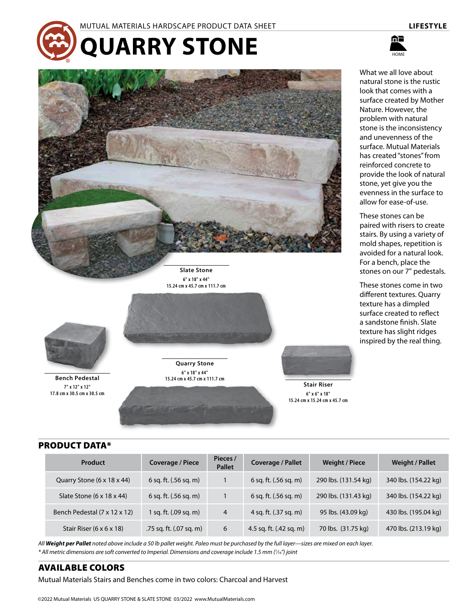

#### MUTUAL MATERIALS HARDSCAPE PRODUCT DATA SHEET **LIFESTYLE**

**QUARRY STONE**



What we all love about natural stone is the rustic look that comes with a surface created by Mother Nature. However, the problem with natural stone is the inconsistency and unevenness of the surface. Mutual Materials has created "stones" from reinforced concrete to provide the look of natural stone, yet give you the evenness in the surface to allow for ease-of-use.

These stones can be paired with risers to create stairs. By using a variety of mold shapes, repetition is avoided for a natural look. For a bench, place the stones on our 7" pedestals.

These stones come in two different textures. Quarry texture has a dimpled surface created to reflect a sandstone finish. Slate texture has slight ridges inspired by the real thing.



**Bench Pedestal 7" x 12" x 12" 17.8 cm x 30.5 cm x 30.5 cm**

**Quarry Stone 6" x 18" x 44" 15.24 cm x 45.7 cm x 111.7 cm**

**Slate Stone 6" x 18" x 44" 15.24 cm x 45.7 cm x 111.7 cm**



**6" x 6" x 18" 15.24 cm x 15.24 cm x 45.7 cm**

## PRODUCT DATA\*

| <b>Product</b>                         | Coverage / Piece        | Pieces /<br><b>Pallet</b> | <b>Coverage / Pallet</b> | <b>Weight / Piece</b> | <b>Weight / Pallet</b> |
|----------------------------------------|-------------------------|---------------------------|--------------------------|-----------------------|------------------------|
| Quarry Stone $(6 \times 18 \times 44)$ | 6 sq. ft. (.56 sq. m)   |                           | 6 sq. ft. (.56 sq. m)    | 290 lbs. (131.54 kg)  | 340 lbs. (154.22 kg)   |
| Slate Stone $(6 \times 18 \times 44)$  | 6 sq. ft. (.56 sq. m)   |                           | 6 sq. ft. $(.56$ sq. m)  | 290 lbs. (131.43 kg)  | 340 lbs. (154.22 kg)   |
| Bench Pedestal (7 x 12 x 12)           | 1 sq. ft. (.09 sq. m)   | $\overline{4}$            | 4 sq. ft. (.37 sq. m)    | 95 lbs. (43.09 kg)    | 430 lbs. (195.04 kg)   |
| Stair Riser $(6 \times 6 \times 18)$   | .75 sq. ft. (.07 sq. m) | 6                         | 4.5 sq. ft. (.42 sq. m)  | 70 lbs. (31.75 kg)    | 470 lbs. (213.19 kg)   |

*All Weight per Pallet noted above include a 50 lb pallet weight. Paleo must be purchased by the full layer—sizes are mixed on each layer. \* All metric dimensions are soft converted to Imperial. Dimensions and coverage include 1.5 mm (1 ⁄16") joint*

### AVAILABLE COLORS

Mutual Materials Stairs and Benches come in two colors: Charcoal and Harvest